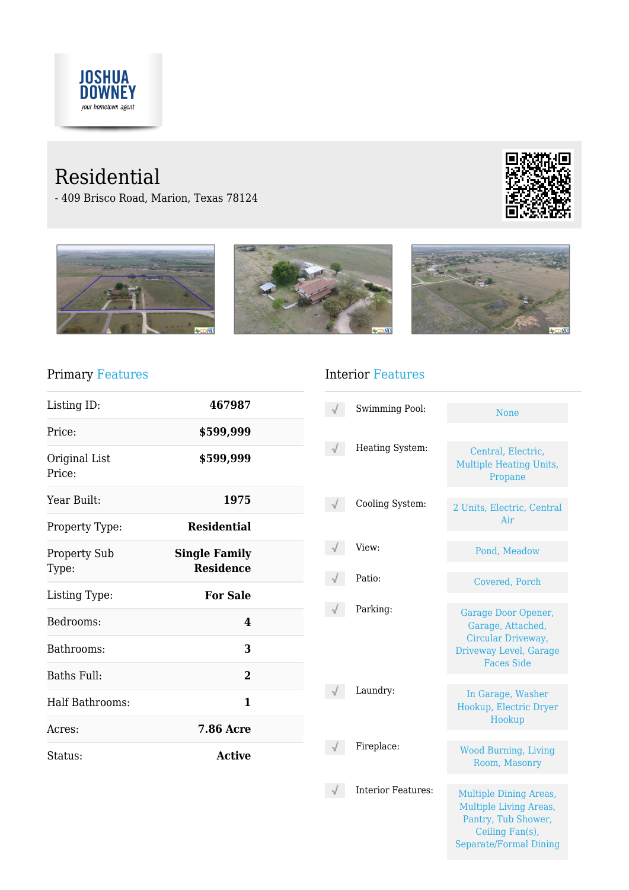

# Residential

- 409 Brisco Road, Marion, Texas 78124





#### Primary Features

| Listing ID:                  | 467987                                   |  |
|------------------------------|------------------------------------------|--|
| Price:                       | \$599,999                                |  |
| Original List<br>Price:      | \$599,999                                |  |
| Year Built:                  | 1975                                     |  |
| Property Type:               | <b>Residential</b>                       |  |
| <b>Property Sub</b><br>Type: | <b>Single Family</b><br><b>Residence</b> |  |
| Listing Type:                | <b>For Sale</b>                          |  |
| Bedrooms:                    | 4                                        |  |
| Bathrooms:                   | 3                                        |  |
| Baths Full:                  | 2                                        |  |
| <b>Half Bathrooms:</b>       | 1                                        |  |
| Acres:                       | <b>7.86 Acre</b>                         |  |
| Status:                      | <b>Active</b>                            |  |

#### Interior Features

| <b>Swimming Pool:</b>     | <b>None</b>                                                                                                                               |
|---------------------------|-------------------------------------------------------------------------------------------------------------------------------------------|
| Heating System:           | Central, Electric,<br><b>Multiple Heating Units,</b><br>Propane                                                                           |
| Cooling System:           | 2 Units, Electric, Central<br>Air                                                                                                         |
| View:                     | Pond, Meadow                                                                                                                              |
| Patio:                    | Covered, Porch                                                                                                                            |
| Parking:                  | Garage Door Opener,<br>Garage, Attached,<br>Circular Driveway,<br>Driveway Level, Garage<br><b>Faces Side</b>                             |
| Laundry:                  | In Garage, Washer<br>Hookup, Electric Dryer<br>Hookup                                                                                     |
| Fireplace:                | <b>Wood Burning, Living</b><br>Room, Masonry                                                                                              |
| <b>Interior Features:</b> | <b>Multiple Dining Areas,</b><br><b>Multiple Living Areas,</b><br>Pantry, Tub Shower,<br>Ceiling Fan(s),<br><b>Separate/Formal Dining</b> |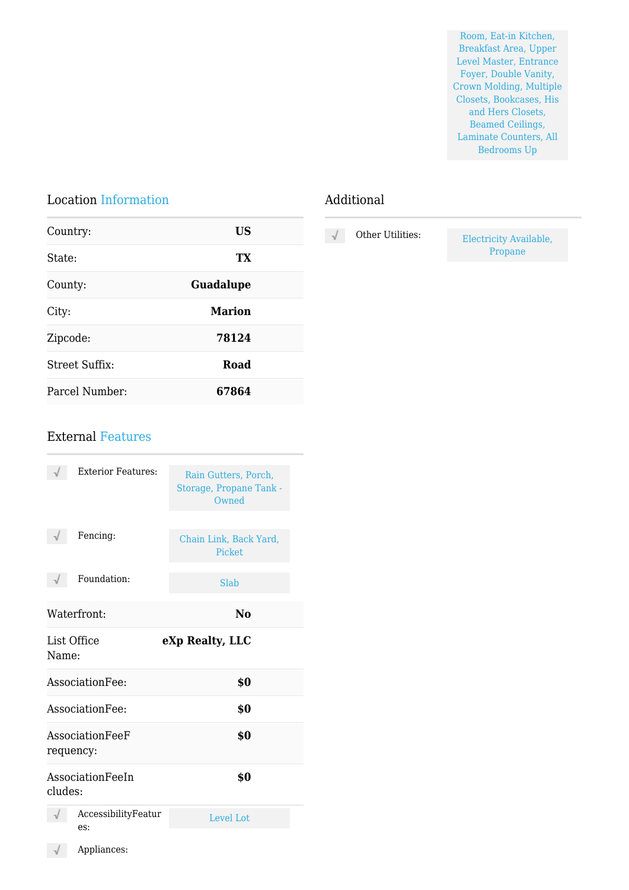Room, Eat-in Kitchen, Breakfast Area, Upper Level Master, Entrance Foyer, Double Vanity, Crown Molding, Multiple Closets, Bookcases, His and Hers Closets, Beamed Ceilings, Laminate Counters, All Bedrooms Up

### Location Information

| Country:       | US               |  |
|----------------|------------------|--|
| State:         | TX               |  |
| County:        | <b>Guadalupe</b> |  |
| City:          | <b>Marion</b>    |  |
| Zipcode:       | 78124            |  |
| Street Suffix: | Road             |  |
| Parcel Number: | 67864            |  |

#### Additional

| Other Utilities: | Electricity Available, |
|------------------|------------------------|
|                  | Propane                |

#### External Features

| <b>Exterior Features:</b>               | Rain Gutters, Porch,<br>Storage, Propane Tank -<br>Owned |
|-----------------------------------------|----------------------------------------------------------|
| Fencing:                                | Chain Link, Back Yard,<br><b>Picket</b>                  |
| Foundation:                             | Slab                                                     |
| Waterfront:                             | No                                                       |
| List Office<br>eXp Realty, LLC<br>Name: |                                                          |
| AssociationFee:                         | \$0                                                      |
| AssociationFee:                         | \$0                                                      |
| AssociationFeeF<br>requency:            | \$0                                                      |
| AssociationFeeIn<br>cludes:             | \$0                                                      |
| AccessibilityFeatur<br>$\text{es}:$     | Level Lot                                                |
| Appliances:                             |                                                          |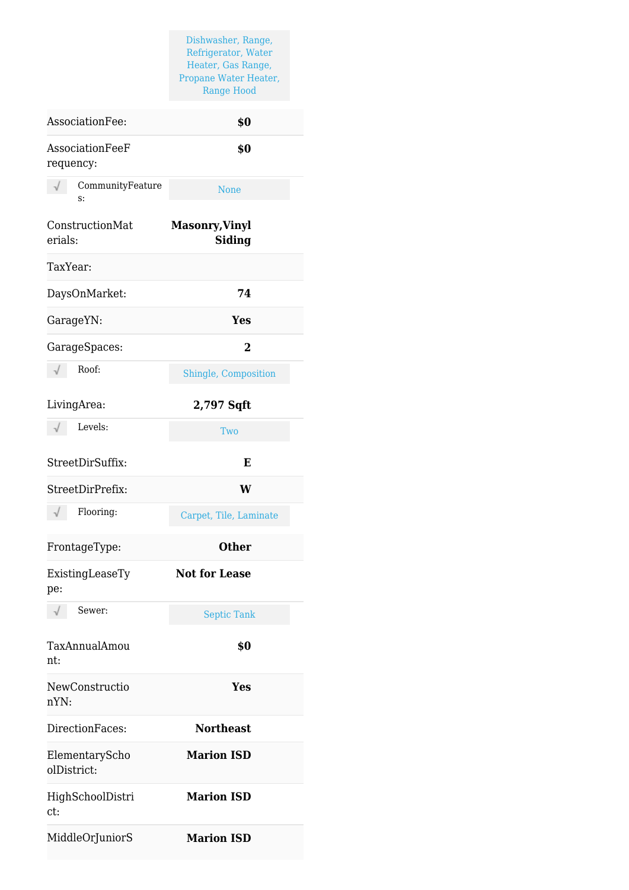Dishwasher, Range, Refrigerator, Water Heater, Gas Range, Propane Water Heater, Range Hood

| AssociationFee:               | \$0                                    |
|-------------------------------|----------------------------------------|
| AssociationFeeF<br>requency:  | \$0                                    |
| CommunityFeature<br>S:        | None                                   |
| ConstructionMat<br>erials:    | <b>Masonry, Vinyl</b><br><b>Siding</b> |
| TaxYear:                      |                                        |
| DaysOnMarket:                 | 74                                     |
| GarageYN:                     | Yes                                    |
| GarageSpaces:                 | 2                                      |
| Roof:<br>$\sqrt{}$            | Shingle, Composition                   |
| LivingArea:                   | 2,797 Sqft                             |
| Levels:<br>$\sqrt{}$          | Two                                    |
| StreetDirSuffix:              | E                                      |
| StreetDirPrefix:              | W                                      |
| Flooring:                     | Carpet, Tile, Laminate                 |
| FrontageType:                 | <b>Other</b>                           |
| ExistingLeaseTy<br>pe:        | <b>Not for Lease</b>                   |
| Sewer:<br>√                   | <b>Septic Tank</b>                     |
| TaxAnnualAmou<br>nt:          | \$0                                    |
| NewConstructio<br>nYN:        | <b>Yes</b>                             |
| DirectionFaces:               | <b>Northeast</b>                       |
| ElementaryScho<br>olDistrict: | <b>Marion ISD</b>                      |
| HighSchoolDistri<br>ct:       | <b>Marion ISD</b>                      |
| MiddleOrJuniorS               | <b>Marion ISD</b>                      |